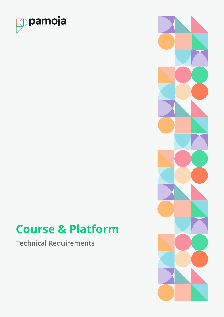

# **Course & Platform**

**Technical Requirements**

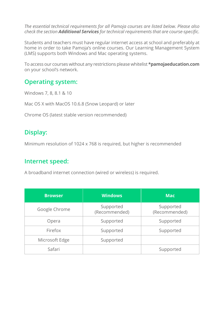*The essential technical requirements for all Pamoja courses are listed below. Please also check the section Additional Services for technical requirements that are course-specific.*

Students and teachers must have regular internet access at school and preferably at home in order to take Pamoja's online courses. Our Learning Management System (LMS) supports both Windows and Mac operating systems.

To access our courses without any restrictions please whitelist **\*pamojaeducation.com** on your school's network.

#### **Operating system:**

Windows 7, 8, 8.1 & 10

Mac OS X with MacOS 10.6.8 (Snow Leopard) or later

Chrome OS (latest stable version recommended)

# **Display:**

Minimum resolution of 1024 x 768 is required, but higher is recommended

#### **Internet speed:**

A broadband internet connection (wired or wireless) is required.

| <b>Browser</b> | <b>Windows</b>             | <b>Mac</b>                 |
|----------------|----------------------------|----------------------------|
| Google Chrome  | Supported<br>(Recommended) | Supported<br>(Recommended) |
| Opera          | Supported                  | Supported                  |
| Firefox        | Supported                  | Supported                  |
| Microsoft Edge | Supported                  |                            |
| Safari         |                            | Supported                  |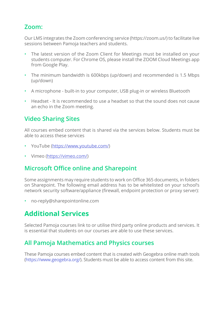## **Zoom:**

Our LMS integrates the Zoom conferencing service (https://zoom.us/) to facilitate live sessions between Pamoja teachers and students.

- The latest version of the Zoom Client for Meetings must be installed on your students computer. For Chrome OS, please install the ZOOM Cloud Meetings app from Google Play.
- The minimum bandwidth is 600kbps (up/down) and recommended is 1.5 Mbps (up/down)
- A microphone built-in to your computer, USB plug-in or wireless Bluetooth
- Headset It is recommended to use a headset so that the sound does not cause an echo in the Zoom meeting.

# **Video Sharing Sites**

All courses embed content that is shared via the services below. Students must be able to access these services

- YouTube [\(https://www.youtube.com/](https://www.youtube.com/))
- Vimeo ([https://vimeo.com/\)](http://https://vimeo.com/)

# **Microsoft Office online and Sharepoint**

Some assignments may require students to work on Office 365 documents, in folders on Sharepoint. The following email address has to be whitelisted on your school's network security software/appliance (firewall, endpoint protection or proxy server):

• no-reply@sharepointonline.com

# **Additional Services**

Selected Pamoja courses link to or utilise third party online products and services. It is essential that students on our courses are able to use these services.

## **All Pamoja Mathematics and Physics courses**

These Pamoja courses embed content that is created with Geogebra online math tools [\(https://www.geogebra.org/\)](https://www.geogebra.org/). Students must be able to access content from this site.